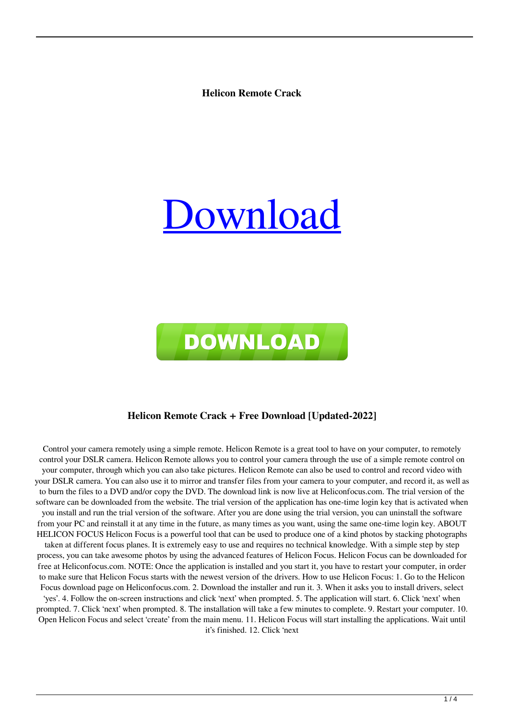**Helicon Remote Crack**





#### **Helicon Remote Crack + Free Download [Updated-2022]**

Control your camera remotely using a simple remote. Helicon Remote is a great tool to have on your computer, to remotely control your DSLR camera. Helicon Remote allows you to control your camera through the use of a simple remote control on your computer, through which you can also take pictures. Helicon Remote can also be used to control and record video with your DSLR camera. You can also use it to mirror and transfer files from your camera to your computer, and record it, as well as to burn the files to a DVD and/or copy the DVD. The download link is now live at Heliconfocus.com. The trial version of the software can be downloaded from the website. The trial version of the application has one-time login key that is activated when you install and run the trial version of the software. After you are done using the trial version, you can uninstall the software from your PC and reinstall it at any time in the future, as many times as you want, using the same one-time login key. ABOUT HELICON FOCUS Helicon Focus is a powerful tool that can be used to produce one of a kind photos by stacking photographs taken at different focus planes. It is extremely easy to use and requires no technical knowledge. With a simple step by step process, you can take awesome photos by using the advanced features of Helicon Focus. Helicon Focus can be downloaded for free at Heliconfocus.com. NOTE: Once the application is installed and you start it, you have to restart your computer, in order to make sure that Helicon Focus starts with the newest version of the drivers. How to use Helicon Focus: 1. Go to the Helicon Focus download page on Heliconfocus.com. 2. Download the installer and run it. 3. When it asks you to install drivers, select 'yes'. 4. Follow the on-screen instructions and click 'next' when prompted. 5. The application will start. 6. Click 'next' when prompted. 7. Click 'next' when prompted. 8. The installation will take a few minutes to complete. 9. Restart your computer. 10. Open Helicon Focus and select 'create' from the main menu. 11. Helicon Focus will start installing the applications. Wait until it's finished. 12. Click 'next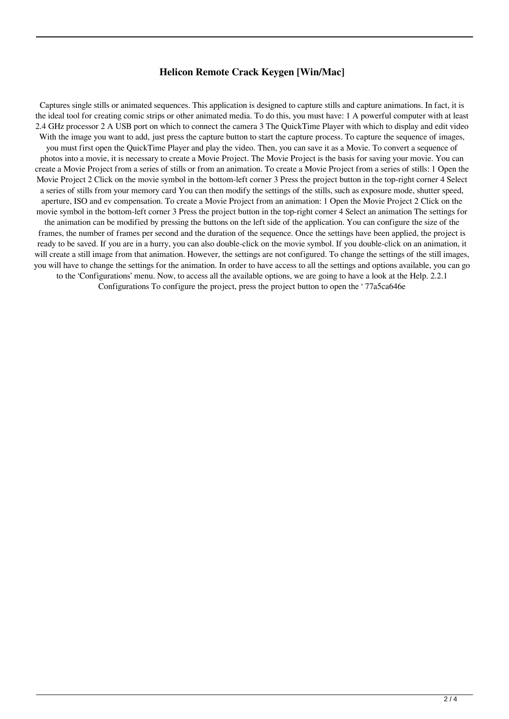### **Helicon Remote Crack Keygen [Win/Mac]**

Captures single stills or animated sequences. This application is designed to capture stills and capture animations. In fact, it is the ideal tool for creating comic strips or other animated media. To do this, you must have: 1 A powerful computer with at least 2.4 GHz processor 2 A USB port on which to connect the camera 3 The QuickTime Player with which to display and edit video With the image you want to add, just press the capture button to start the capture process. To capture the sequence of images, you must first open the QuickTime Player and play the video. Then, you can save it as a Movie. To convert a sequence of photos into a movie, it is necessary to create a Movie Project. The Movie Project is the basis for saving your movie. You can create a Movie Project from a series of stills or from an animation. To create a Movie Project from a series of stills: 1 Open the Movie Project 2 Click on the movie symbol in the bottom-left corner 3 Press the project button in the top-right corner 4 Select a series of stills from your memory card You can then modify the settings of the stills, such as exposure mode, shutter speed, aperture, ISO and ev compensation. To create a Movie Project from an animation: 1 Open the Movie Project 2 Click on the movie symbol in the bottom-left corner 3 Press the project button in the top-right corner 4 Select an animation The settings for the animation can be modified by pressing the buttons on the left side of the application. You can configure the size of the frames, the number of frames per second and the duration of the sequence. Once the settings have been applied, the project is ready to be saved. If you are in a hurry, you can also double-click on the movie symbol. If you double-click on an animation, it will create a still image from that animation. However, the settings are not configured. To change the settings of the still images, you will have to change the settings for the animation. In order to have access to all the settings and options available, you can go to the 'Configurations' menu. Now, to access all the available options, we are going to have a look at the Help. 2.2.1 Configurations To configure the project, press the project button to open the ' 77a5ca646e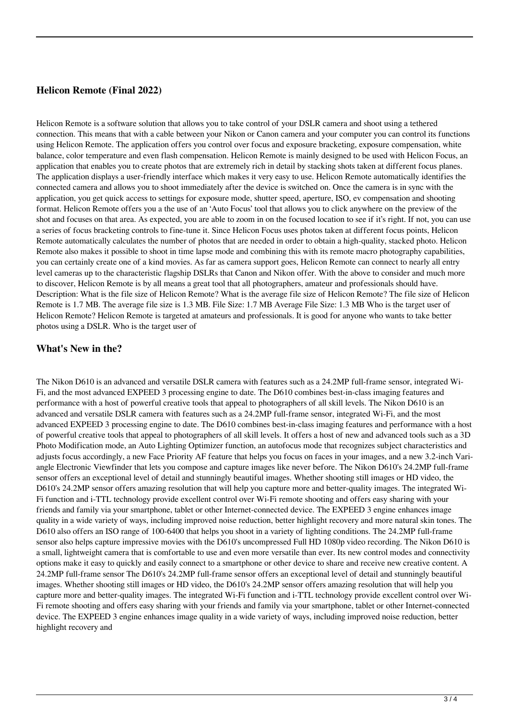## **Helicon Remote (Final 2022)**

Helicon Remote is a software solution that allows you to take control of your DSLR camera and shoot using a tethered connection. This means that with a cable between your Nikon or Canon camera and your computer you can control its functions using Helicon Remote. The application offers you control over focus and exposure bracketing, exposure compensation, white balance, color temperature and even flash compensation. Helicon Remote is mainly designed to be used with Helicon Focus, an application that enables you to create photos that are extremely rich in detail by stacking shots taken at different focus planes. The application displays a user-friendly interface which makes it very easy to use. Helicon Remote automatically identifies the connected camera and allows you to shoot immediately after the device is switched on. Once the camera is in sync with the application, you get quick access to settings for exposure mode, shutter speed, aperture, ISO, ev compensation and shooting format. Helicon Remote offers you a the use of an 'Auto Focus' tool that allows you to click anywhere on the preview of the shot and focuses on that area. As expected, you are able to zoom in on the focused location to see if it's right. If not, you can use a series of focus bracketing controls to fine-tune it. Since Helicon Focus uses photos taken at different focus points, Helicon Remote automatically calculates the number of photos that are needed in order to obtain a high-quality, stacked photo. Helicon Remote also makes it possible to shoot in time lapse mode and combining this with its remote macro photography capabilities, you can certainly create one of a kind movies. As far as camera support goes, Helicon Remote can connect to nearly all entry level cameras up to the characteristic flagship DSLRs that Canon and Nikon offer. With the above to consider and much more to discover, Helicon Remote is by all means a great tool that all photographers, amateur and professionals should have. Description: What is the file size of Helicon Remote? What is the average file size of Helicon Remote? The file size of Helicon Remote is 1.7 MB. The average file size is 1.3 MB. File Size: 1.7 MB Average File Size: 1.3 MB Who is the target user of Helicon Remote? Helicon Remote is targeted at amateurs and professionals. It is good for anyone who wants to take better photos using a DSLR. Who is the target user of

#### **What's New in the?**

The Nikon D610 is an advanced and versatile DSLR camera with features such as a 24.2MP full-frame sensor, integrated Wi-Fi, and the most advanced EXPEED 3 processing engine to date. The D610 combines best-in-class imaging features and performance with a host of powerful creative tools that appeal to photographers of all skill levels. The Nikon D610 is an advanced and versatile DSLR camera with features such as a 24.2MP full-frame sensor, integrated Wi-Fi, and the most advanced EXPEED 3 processing engine to date. The D610 combines best-in-class imaging features and performance with a host of powerful creative tools that appeal to photographers of all skill levels. It offers a host of new and advanced tools such as a 3D Photo Modification mode, an Auto Lighting Optimizer function, an autofocus mode that recognizes subject characteristics and adjusts focus accordingly, a new Face Priority AF feature that helps you focus on faces in your images, and a new 3.2-inch Variangle Electronic Viewfinder that lets you compose and capture images like never before. The Nikon D610's 24.2MP full-frame sensor offers an exceptional level of detail and stunningly beautiful images. Whether shooting still images or HD video, the D610's 24.2MP sensor offers amazing resolution that will help you capture more and better-quality images. The integrated Wi-Fi function and i-TTL technology provide excellent control over Wi-Fi remote shooting and offers easy sharing with your friends and family via your smartphone, tablet or other Internet-connected device. The EXPEED 3 engine enhances image quality in a wide variety of ways, including improved noise reduction, better highlight recovery and more natural skin tones. The D610 also offers an ISO range of 100-6400 that helps you shoot in a variety of lighting conditions. The 24.2MP full-frame sensor also helps capture impressive movies with the D610's uncompressed Full HD 1080p video recording. The Nikon D610 is a small, lightweight camera that is comfortable to use and even more versatile than ever. Its new control modes and connectivity options make it easy to quickly and easily connect to a smartphone or other device to share and receive new creative content. A 24.2MP full-frame sensor The D610's 24.2MP full-frame sensor offers an exceptional level of detail and stunningly beautiful images. Whether shooting still images or HD video, the D610's 24.2MP sensor offers amazing resolution that will help you capture more and better-quality images. The integrated Wi-Fi function and i-TTL technology provide excellent control over Wi-Fi remote shooting and offers easy sharing with your friends and family via your smartphone, tablet or other Internet-connected device. The EXPEED 3 engine enhances image quality in a wide variety of ways, including improved noise reduction, better highlight recovery and